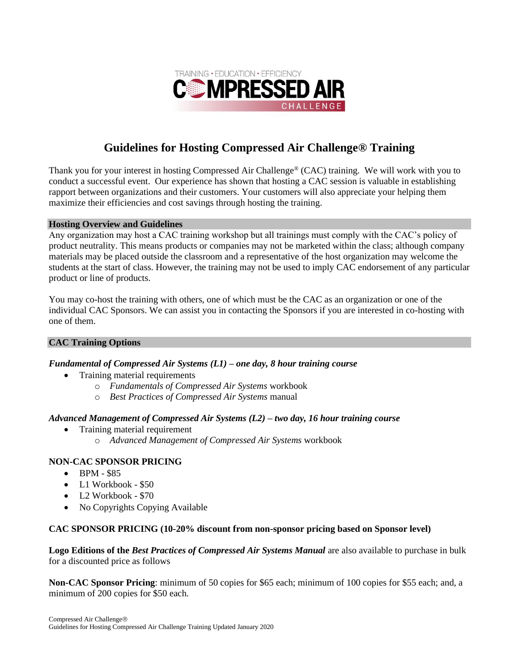

# **Guidelines for Hosting Compressed Air Challenge® Training**

Thank you for your interest in hosting Compressed Air Challenge® (CAC) training. We will work with you to conduct a successful event. Our experience has shown that hosting a CAC session is valuable in establishing rapport between organizations and their customers. Your customers will also appreciate your helping them maximize their efficiencies and cost savings through hosting the training.

#### **Hosting Overview and Guidelines**

Any organization may host a CAC training workshop but all trainings must comply with the CAC's policy of product neutrality. This means products or companies may not be marketed within the class; although company materials may be placed outside the classroom and a representative of the host organization may welcome the students at the start of class. However, the training may not be used to imply CAC endorsement of any particular product or line of products.

You may co-host the training with others, one of which must be the CAC as an organization or one of the individual CAC Sponsors. We can assist you in contacting the Sponsors if you are interested in co-hosting with one of them.

# **CAC Training Options**

# *Fundamental of Compressed Air Systems (L1) – one day, 8 hour training course*

- Training material requirements
	- o *Fundamentals of Compressed Air Systems* workbook
	- o *Best Practices of Compressed Air Systems* manual

# *Advanced Management of Compressed Air Systems (L2) – two day, 16 hour training course*

- Training material requirement
	- o *Advanced Management of Compressed Air Systems* workbook

# **NON-CAC SPONSOR PRICING**

- BPM \$85
- L1 Workbook \$50
- L2 Workbook \$70
- No Copyrights Copying Available

#### **CAC SPONSOR PRICING (10-20% discount from non-sponsor pricing based on Sponsor level)**

**Logo Editions of the** *Best Practices of Compressed Air Systems Manual* are also available to purchase in bulk for a discounted price as follows

**Non-CAC Sponsor Pricing**: minimum of 50 copies for \$65 each; minimum of 100 copies for \$55 each; and, a minimum of 200 copies for \$50 each.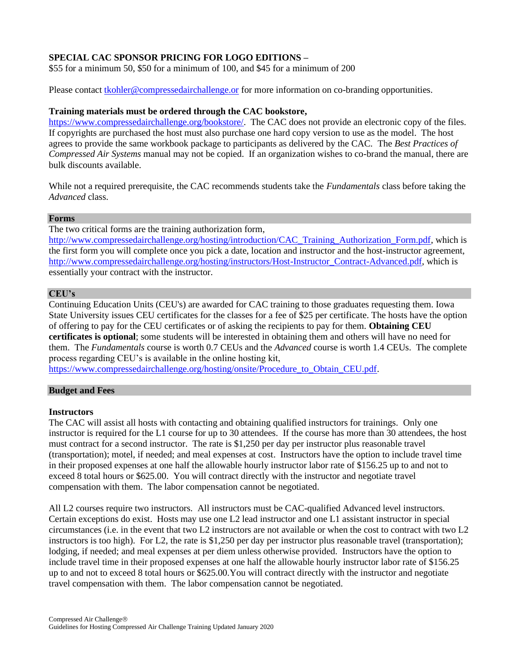# **SPECIAL CAC SPONSOR PRICING FOR LOGO EDITIONS –**

\$55 for a minimum 50, \$50 for a minimum of 100, and \$45 for a minimum of 200

Please contact [tkohler@compressedairchallenge.or](mailto:tkohler@compressedairchallenge.or) for more information on co-branding opportunities.

## **Training materials must be ordered through the CAC bookstore,**

[https://www.compressedairchallenge.org/bookstore/.](https://www.compressedairchallenge.org/bookstore/) The CAC does not provide an electronic copy of the files. If copyrights are purchased the host must also purchase one hard copy version to use as the model. The host agrees to provide the same workbook package to participants as delivered by the CAC. The *Best Practices of Compressed Air Systems* manual may not be copied. If an organization wishes to co-brand the manual, there are bulk discounts available.

While not a required prerequisite, the CAC recommends students take the *Fundamentals* class before taking the *Advanced* class.

## **Forms**

The two critical forms are the training authorization form,

[http://www.compressedairchallenge.org/hosting/introduction/CAC\\_Training\\_Authorization\\_Form.pdf,](http://www.compressedairchallenge.org/hosting/introduction/CAC_Training_Authorization_Form.pdf) which is the first form you will complete once you pick a date, location and instructor and the host-instructor agreement, [http://www.compressedairchallenge.org/hosting/instructors/Host-Instructor\\_Contract-Advanced.pdf,](http://www.compressedairchallenge.org/hosting/instructors/Host-Instructor_Contract-Advanced.pdf) which is essentially your contract with the instructor.

## **CEU's**

Continuing Education Units (CEU's) are awarded for CAC training to those graduates requesting them. Iowa State University issues CEU certificates for the classes for a fee of \$25 per certificate. The hosts have the option of offering to pay for the CEU certificates or of asking the recipients to pay for them. **Obtaining CEU certificates is optional**; some students will be interested in obtaining them and others will have no need for them. The *Fundamentals* course is worth 0.7 CEUs and the *Advanced* course is worth 1.4 CEUs. The complete process regarding CEU's is available in the online hosting kit,

[https://www.compressedairchallenge.org/hosting/onsite/Procedure\\_to\\_Obtain\\_CEU.pdf.](https://www.compressedairchallenge.org/hosting/onsite/Procedure_to_Obtain_CEU.pdf)

## **Budget and Fees**

#### **Instructors**

The CAC will assist all hosts with contacting and obtaining qualified instructors for trainings. Only one instructor is required for the L1 course for up to 30 attendees. If the course has more than 30 attendees, the host must contract for a second instructor. The rate is \$1,250 per day per instructor plus reasonable travel (transportation); motel, if needed; and meal expenses at cost. Instructors have the option to include travel time in their proposed expenses at one half the allowable hourly instructor labor rate of \$156.25 up to and not to exceed 8 total hours or \$625.00. You will contract directly with the instructor and negotiate travel compensation with them. The labor compensation cannot be negotiated.

All L2 courses require two instructors. All instructors must be CAC-qualified Advanced level instructors. Certain exceptions do exist. Hosts may use one L2 lead instructor and one L1 assistant instructor in special circumstances (i.e. in the event that two L2 instructors are not available or when the cost to contract with two L2 instructors is too high). For L2, the rate is \$1,250 per day per instructor plus reasonable travel (transportation); lodging, if needed; and meal expenses at per diem unless otherwise provided. Instructors have the option to include travel time in their proposed expenses at one half the allowable hourly instructor labor rate of \$156.25 up to and not to exceed 8 total hours or \$625.00.You will contract directly with the instructor and negotiate travel compensation with them. The labor compensation cannot be negotiated.